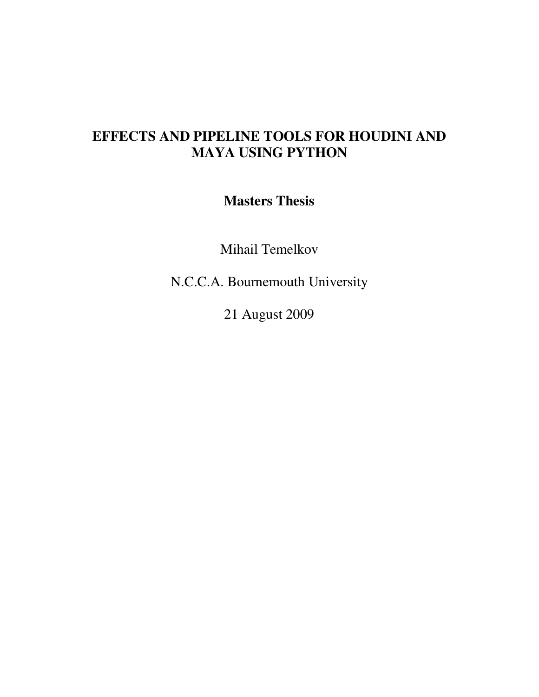## **EFFECTS AND PIPELINE TOOLS FOR HOUDINI AND MAYA USING PYTHON**

**Masters Thesis** 

Mihail Temelkov

N.C.C.A. Bournemouth University

21 August 2009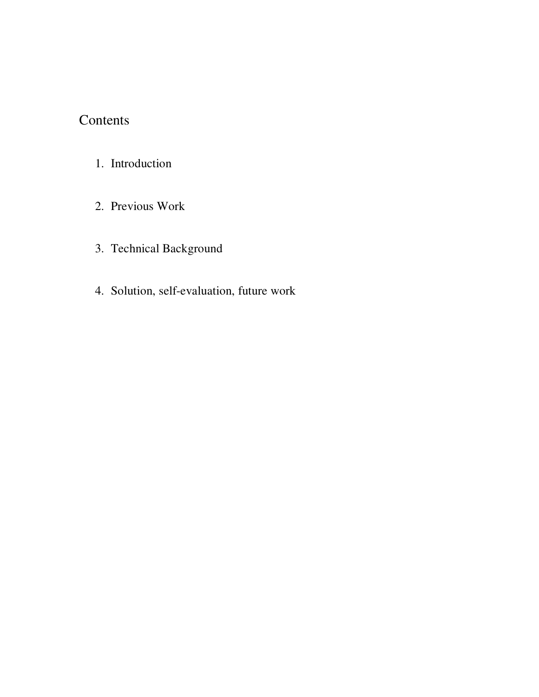## Contents

- 1. Introduction
- 2. Previous Work
- 3. Technical Background
- 4. Solution, self-evaluation, future work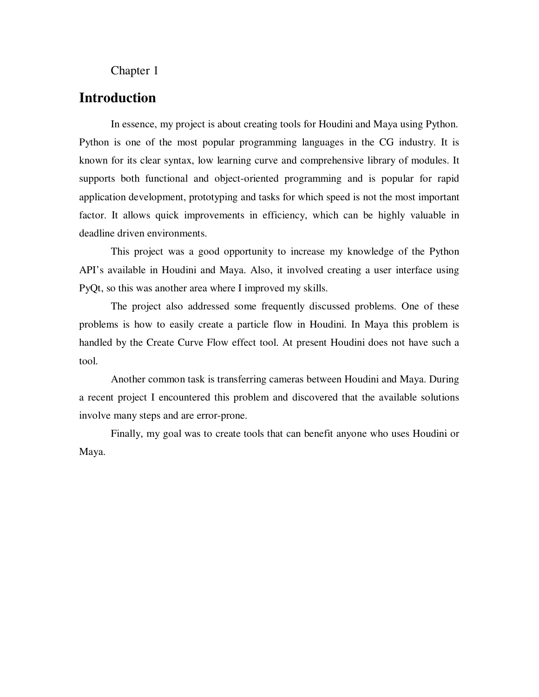#### Chapter 1

### **Introduction**

In essence, my project is about creating tools for Houdini and Maya using Python. Python is one of the most popular programming languages in the CG industry. It is known for its clear syntax, low learning curve and comprehensive library of modules. It supports both functional and object-oriented programming and is popular for rapid application development, prototyping and tasks for which speed is not the most important factor. It allows quick improvements in efficiency, which can be highly valuable in deadline driven environments.

This project was a good opportunity to increase my knowledge of the Python API's available in Houdini and Maya. Also, it involved creating a user interface using PyQt, so this was another area where I improved my skills.

The project also addressed some frequently discussed problems. One of these problems is how to easily create a particle flow in Houdini. In Maya this problem is handled by the Create Curve Flow effect tool. At present Houdini does not have such a tool.

Another common task is transferring cameras between Houdini and Maya. During a recent project I encountered this problem and discovered that the available solutions involve many steps and are error-prone.

Finally, my goal was to create tools that can benefit anyone who uses Houdini or Maya.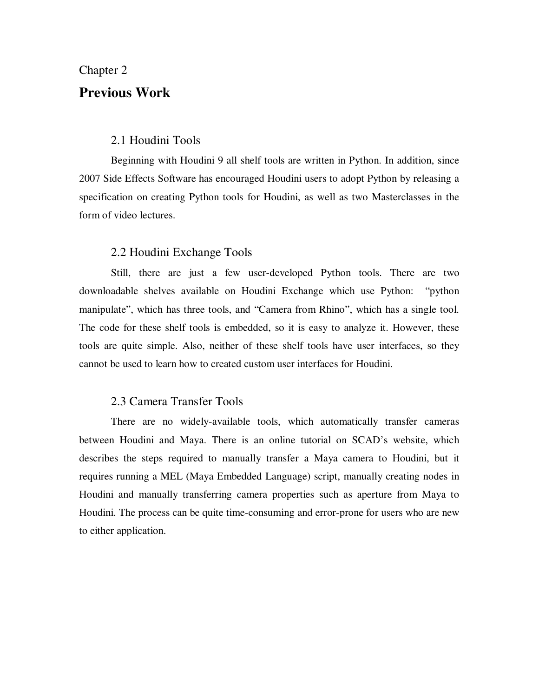#### Chapter 2

### **Previous Work**

#### 2.1 Houdini Tools

Beginning with Houdini 9 all shelf tools are written in Python. In addition, since 2007 Side Effects Software has encouraged Houdini users to adopt Python by releasing a specification on creating Python tools for Houdini, as well as two Masterclasses in the form of video lectures.

#### 2.2 Houdini Exchange Tools

Still, there are just a few user-developed Python tools. There are two downloadable shelves available on Houdini Exchange which use Python: "python manipulate", which has three tools, and "Camera from Rhino", which has a single tool. The code for these shelf tools is embedded, so it is easy to analyze it. However, these tools are quite simple. Also, neither of these shelf tools have user interfaces, so they cannot be used to learn how to created custom user interfaces for Houdini.

#### 2.3 Camera Transfer Tools

There are no widely-available tools, which automatically transfer cameras between Houdini and Maya. There is an online tutorial on SCAD's website, which describes the steps required to manually transfer a Maya camera to Houdini, but it requires running a MEL (Maya Embedded Language) script, manually creating nodes in Houdini and manually transferring camera properties such as aperture from Maya to Houdini. The process can be quite time-consuming and error-prone for users who are new to either application.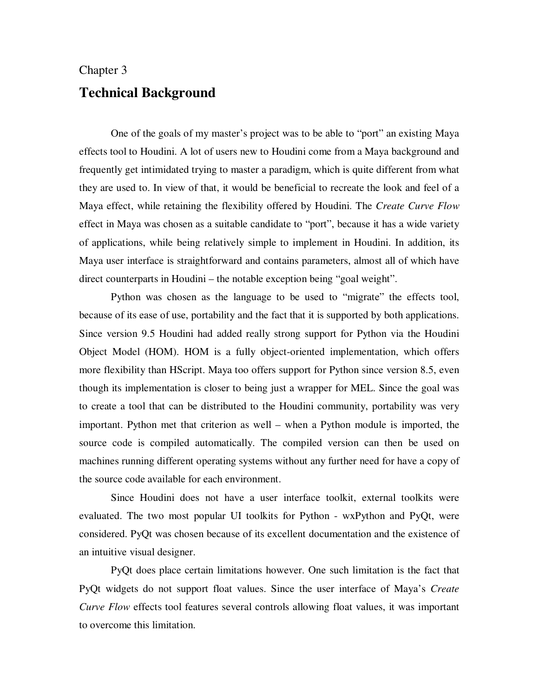# Chapter 3 **Technical Background**

One of the goals of my master's project was to be able to "port" an existing Maya effects tool to Houdini. A lot of users new to Houdini come from a Maya background and frequently get intimidated trying to master a paradigm, which is quite different from what they are used to. In view of that, it would be beneficial to recreate the look and feel of a Maya effect, while retaining the flexibility offered by Houdini. The *Create Curve Flow* effect in Maya was chosen as a suitable candidate to "port", because it has a wide variety of applications, while being relatively simple to implement in Houdini. In addition, its Maya user interface is straightforward and contains parameters, almost all of which have direct counterparts in Houdini – the notable exception being "goal weight".

Python was chosen as the language to be used to "migrate" the effects tool, because of its ease of use, portability and the fact that it is supported by both applications. Since version 9.5 Houdini had added really strong support for Python via the Houdini Object Model (HOM). HOM is a fully object-oriented implementation, which offers more flexibility than HScript. Maya too offers support for Python since version 8.5, even though its implementation is closer to being just a wrapper for MEL. Since the goal was to create a tool that can be distributed to the Houdini community, portability was very important. Python met that criterion as well – when a Python module is imported, the source code is compiled automatically. The compiled version can then be used on machines running different operating systems without any further need for have a copy of the source code available for each environment.

Since Houdini does not have a user interface toolkit, external toolkits were evaluated. The two most popular UI toolkits for Python - wxPython and PyQt, were considered. PyQt was chosen because of its excellent documentation and the existence of an intuitive visual designer.

PyQt does place certain limitations however. One such limitation is the fact that PyQt widgets do not support float values. Since the user interface of Maya's *Create Curve Flow* effects tool features several controls allowing float values, it was important to overcome this limitation.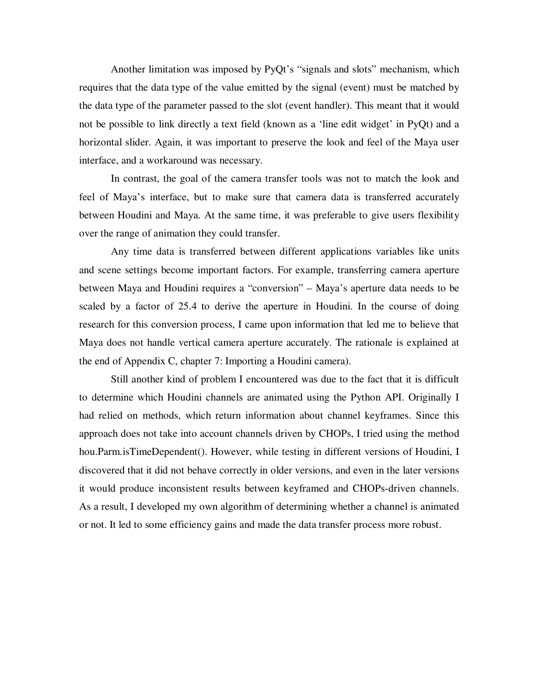Another limitation was imposed by PyQt's "signals and slots" mechanism, which requires that the data type of the value emitted by the signal (event) must be matched by the data type of the parameter passed to the slot (event handler). This meant that it would not be possible to link directly a text field (known as a 'line edit widget' in PyQt) and a horizontal slider. Again, it was important to preserve the look and feel of the Maya user interface, and a workaround was necessary.

In contrast, the goal of the camera transfer tools was not to match the look and feel of Maya's interface, but to make sure that camera data is transferred accurately between Houdini and Maya. At the same time, it was preferable to give users flexibility over the range of animation they could transfer.

Any time data is transferred between different applications variables like units and scene settings become important factors. For example, transferring camera aperture between Maya and Houdini requires a "conversion" – Maya's aperture data needs to be scaled by a factor of 25.4 to derive the aperture in Houdini. In the course of doing research for this conversion process, I came upon information that led me to believe that Maya does not handle vertical camera aperture accurately. The rationale is explained at the end of Appendix C, chapter 7: Importing a Houdini camera).

Still another kind of problem I encountered was due to the fact that it is difficult to determine which Houdini channels are animated using the Python API. Originally I had relied on methods, which return information about channel keyframes. Since this approach does not take into account channels driven by CHOPs, I tried using the method hou.Parm.isTimeDependent(). However, while testing in different versions of Houdini, I discovered that it did not behave correctly in older versions, and even in the later versions it would produce inconsistent results between keyframed and CHOPs-driven channels. As a result, I developed my own algorithm of determining whether a channel is animated or not. It led to some efficiency gains and made the data transfer process more robust.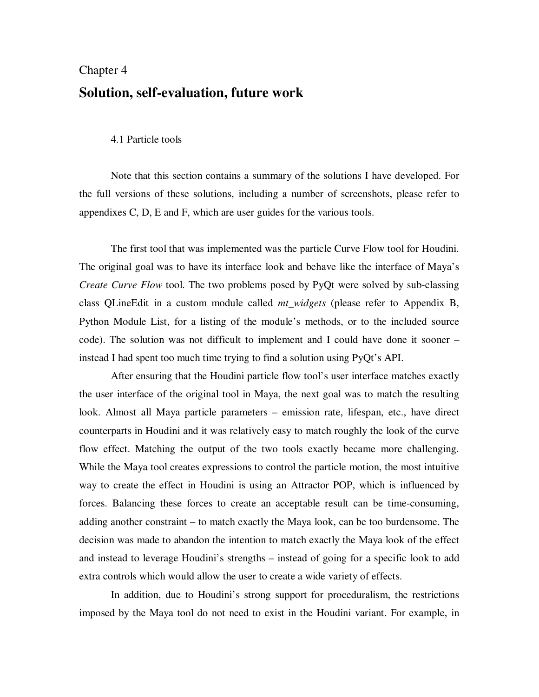# Chapter 4 **Solution, self-evaluation, future work**

#### 4.1 Particle tools

 Note that this section contains a summary of the solutions I have developed. For the full versions of these solutions, including a number of screenshots, please refer to appendixes C, D, E and F, which are user guides for the various tools.

The first tool that was implemented was the particle Curve Flow tool for Houdini. The original goal was to have its interface look and behave like the interface of Maya's *Create Curve Flow* tool. The two problems posed by PyQt were solved by sub-classing class QLineEdit in a custom module called *mt\_widgets* (please refer to Appendix B, Python Module List, for a listing of the module's methods, or to the included source code). The solution was not difficult to implement and I could have done it sooner – instead I had spent too much time trying to find a solution using PyQt's API.

After ensuring that the Houdini particle flow tool's user interface matches exactly the user interface of the original tool in Maya, the next goal was to match the resulting look. Almost all Maya particle parameters – emission rate, lifespan, etc., have direct counterparts in Houdini and it was relatively easy to match roughly the look of the curve flow effect. Matching the output of the two tools exactly became more challenging. While the Maya tool creates expressions to control the particle motion, the most intuitive way to create the effect in Houdini is using an Attractor POP, which is influenced by forces. Balancing these forces to create an acceptable result can be time-consuming, adding another constraint – to match exactly the Maya look, can be too burdensome. The decision was made to abandon the intention to match exactly the Maya look of the effect and instead to leverage Houdini's strengths – instead of going for a specific look to add extra controls which would allow the user to create a wide variety of effects.

In addition, due to Houdini's strong support for proceduralism, the restrictions imposed by the Maya tool do not need to exist in the Houdini variant. For example, in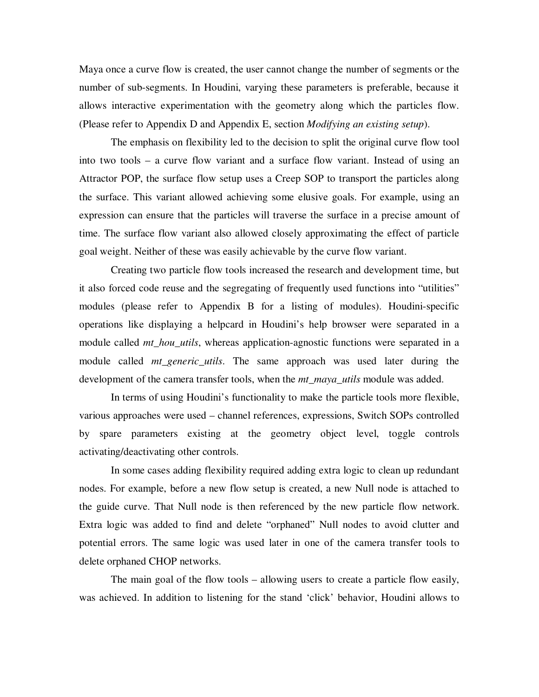Maya once a curve flow is created, the user cannot change the number of segments or the number of sub-segments. In Houdini, varying these parameters is preferable, because it allows interactive experimentation with the geometry along which the particles flow. (Please refer to Appendix D and Appendix E, section *Modifying an existing setup*).

The emphasis on flexibility led to the decision to split the original curve flow tool into two tools – a curve flow variant and a surface flow variant. Instead of using an Attractor POP, the surface flow setup uses a Creep SOP to transport the particles along the surface. This variant allowed achieving some elusive goals. For example, using an expression can ensure that the particles will traverse the surface in a precise amount of time. The surface flow variant also allowed closely approximating the effect of particle goal weight. Neither of these was easily achievable by the curve flow variant.

Creating two particle flow tools increased the research and development time, but it also forced code reuse and the segregating of frequently used functions into "utilities" modules (please refer to Appendix B for a listing of modules). Houdini-specific operations like displaying a helpcard in Houdini's help browser were separated in a module called *mt\_hou\_utils*, whereas application-agnostic functions were separated in a module called *mt\_generic\_utils*. The same approach was used later during the development of the camera transfer tools, when the *mt\_maya\_utils* module was added.

In terms of using Houdini's functionality to make the particle tools more flexible, various approaches were used – channel references, expressions, Switch SOPs controlled by spare parameters existing at the geometry object level, toggle controls activating/deactivating other controls.

In some cases adding flexibility required adding extra logic to clean up redundant nodes. For example, before a new flow setup is created, a new Null node is attached to the guide curve. That Null node is then referenced by the new particle flow network. Extra logic was added to find and delete "orphaned" Null nodes to avoid clutter and potential errors. The same logic was used later in one of the camera transfer tools to delete orphaned CHOP networks.

The main goal of the flow tools – allowing users to create a particle flow easily, was achieved. In addition to listening for the stand 'click' behavior, Houdini allows to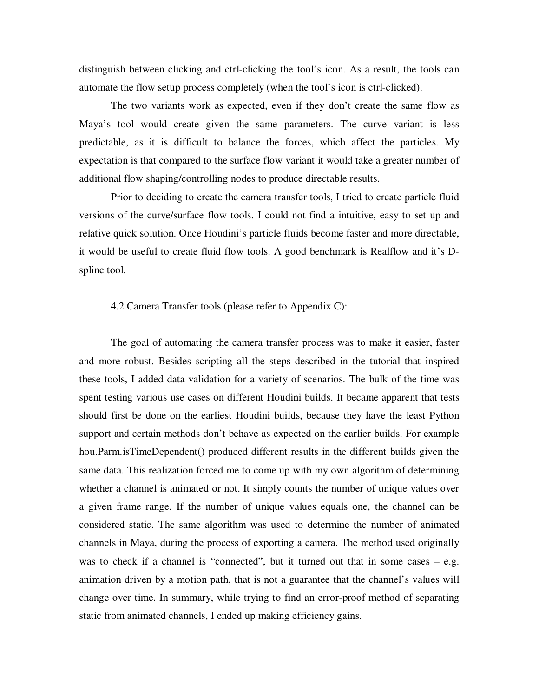distinguish between clicking and ctrl-clicking the tool's icon. As a result, the tools can automate the flow setup process completely (when the tool's icon is ctrl-clicked).

The two variants work as expected, even if they don't create the same flow as Maya's tool would create given the same parameters. The curve variant is less predictable, as it is difficult to balance the forces, which affect the particles. My expectation is that compared to the surface flow variant it would take a greater number of additional flow shaping/controlling nodes to produce directable results.

Prior to deciding to create the camera transfer tools, I tried to create particle fluid versions of the curve/surface flow tools. I could not find a intuitive, easy to set up and relative quick solution. Once Houdini's particle fluids become faster and more directable, it would be useful to create fluid flow tools. A good benchmark is Realflow and it's Dspline tool.

#### 4.2 Camera Transfer tools (please refer to Appendix C):

The goal of automating the camera transfer process was to make it easier, faster and more robust. Besides scripting all the steps described in the tutorial that inspired these tools, I added data validation for a variety of scenarios. The bulk of the time was spent testing various use cases on different Houdini builds. It became apparent that tests should first be done on the earliest Houdini builds, because they have the least Python support and certain methods don't behave as expected on the earlier builds. For example hou.Parm.isTimeDependent() produced different results in the different builds given the same data. This realization forced me to come up with my own algorithm of determining whether a channel is animated or not. It simply counts the number of unique values over a given frame range. If the number of unique values equals one, the channel can be considered static. The same algorithm was used to determine the number of animated channels in Maya, during the process of exporting a camera. The method used originally was to check if a channel is "connected", but it turned out that in some cases – e.g. animation driven by a motion path, that is not a guarantee that the channel's values will change over time. In summary, while trying to find an error-proof method of separating static from animated channels, I ended up making efficiency gains.